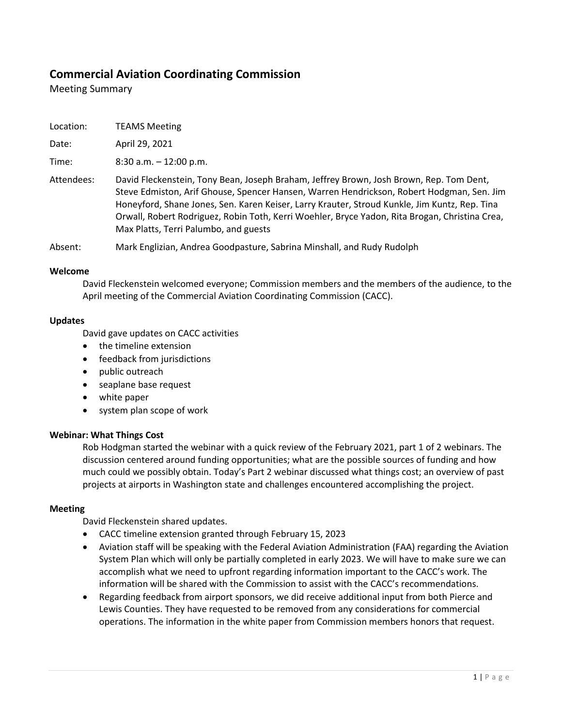# **Commercial Aviation Coordinating Commission**

Meeting Summary

| Location: | <b>TEAMS Meeting</b> |
|-----------|----------------------|
|           |                      |

Date: April 29, 2021

Time: 8:30 a.m. – 12:00 p.m.

Attendees: David Fleckenstein, Tony Bean, Joseph Braham, Jeffrey Brown, Josh Brown, Rep. Tom Dent, Steve Edmiston, Arif Ghouse, Spencer Hansen, Warren Hendrickson, Robert Hodgman, Sen. Jim Honeyford, Shane Jones, Sen. Karen Keiser, Larry Krauter, Stroud Kunkle, Jim Kuntz, Rep. Tina Orwall, Robert Rodriguez, Robin Toth, Kerri Woehler, Bryce Yadon, Rita Brogan, Christina Crea, Max Platts, Terri Palumbo, and guests

Absent: Mark Englizian, Andrea Goodpasture, Sabrina Minshall, and Rudy Rudolph

#### **Welcome**

David Fleckenstein welcomed everyone; Commission members and the members of the audience, to the April meeting of the Commercial Aviation Coordinating Commission (CACC).

#### **Updates**

David gave updates on CACC activities

- the timeline extension
- feedback from jurisdictions
- public outreach
- seaplane base request
- white paper
- system plan scope of work

# **Webinar: What Things Cost**

Rob Hodgman started the webinar with a quick review of the February 2021, part 1 of 2 webinars. The discussion centered around funding opportunities; what are the possible sources of funding and how much could we possibly obtain. Today's Part 2 webinar discussed what things cost; an overview of past projects at airports in Washington state and challenges encountered accomplishing the project.

#### **Meeting**

David Fleckenstein shared updates.

- CACC timeline extension granted through February 15, 2023
- Aviation staff will be speaking with the Federal Aviation Administration (FAA) regarding the Aviation System Plan which will only be partially completed in early 2023. We will have to make sure we can accomplish what we need to upfront regarding information important to the CACC's work. The information will be shared with the Commission to assist with the CACC's recommendations.
- Regarding feedback from airport sponsors, we did receive additional input from both Pierce and Lewis Counties. They have requested to be removed from any considerations for commercial operations. The information in the white paper from Commission members honors that request.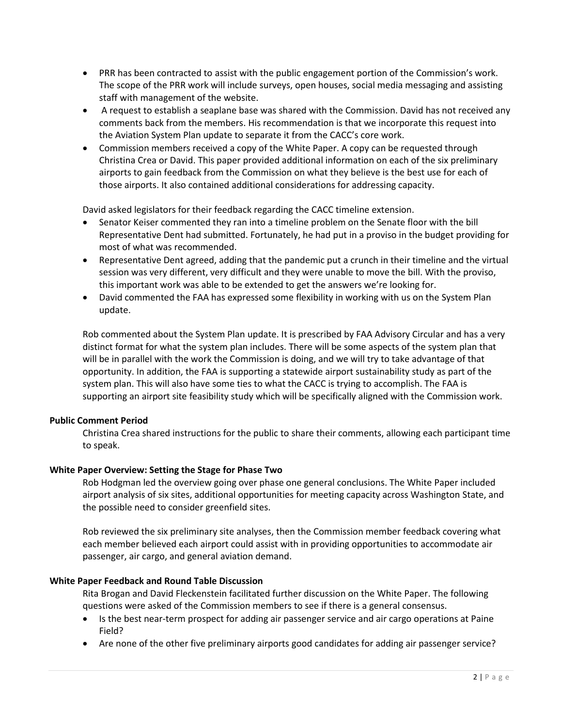- PRR has been contracted to assist with the public engagement portion of the Commission's work. The scope of the PRR work will include surveys, open houses, social media messaging and assisting staff with management of the website.
- A request to establish a seaplane base was shared with the Commission. David has not received any comments back from the members. His recommendation is that we incorporate this request into the Aviation System Plan update to separate it from the CACC's core work.
- Commission members received a copy of the White Paper. A copy can be requested through Christina Crea or David. This paper provided additional information on each of the six preliminary airports to gain feedback from the Commission on what they believe is the best use for each of those airports. It also contained additional considerations for addressing capacity.

David asked legislators for their feedback regarding the CACC timeline extension.

- Senator Keiser commented they ran into a timeline problem on the Senate floor with the bill Representative Dent had submitted. Fortunately, he had put in a proviso in the budget providing for most of what was recommended.
- Representative Dent agreed, adding that the pandemic put a crunch in their timeline and the virtual session was very different, very difficult and they were unable to move the bill. With the proviso, this important work was able to be extended to get the answers we're looking for.
- David commented the FAA has expressed some flexibility in working with us on the System Plan update.

Rob commented about the System Plan update. It is prescribed by FAA Advisory Circular and has a very distinct format for what the system plan includes. There will be some aspects of the system plan that will be in parallel with the work the Commission is doing, and we will try to take advantage of that opportunity. In addition, the FAA is supporting a statewide airport sustainability study as part of the system plan. This will also have some ties to what the CACC is trying to accomplish. The FAA is supporting an airport site feasibility study which will be specifically aligned with the Commission work.

# **Public Comment Period**

Christina Crea shared instructions for the public to share their comments, allowing each participant time to speak.

# **White Paper Overview: Setting the Stage for Phase Two**

Rob Hodgman led the overview going over phase one general conclusions. The White Paper included airport analysis of six sites, additional opportunities for meeting capacity across Washington State, and the possible need to consider greenfield sites.

Rob reviewed the six preliminary site analyses, then the Commission member feedback covering what each member believed each airport could assist with in providing opportunities to accommodate air passenger, air cargo, and general aviation demand.

# **White Paper Feedback and Round Table Discussion**

Rita Brogan and David Fleckenstein facilitated further discussion on the White Paper. The following questions were asked of the Commission members to see if there is a general consensus.

- Is the best near-term prospect for adding air passenger service and air cargo operations at Paine Field?
- Are none of the other five preliminary airports good candidates for adding air passenger service?